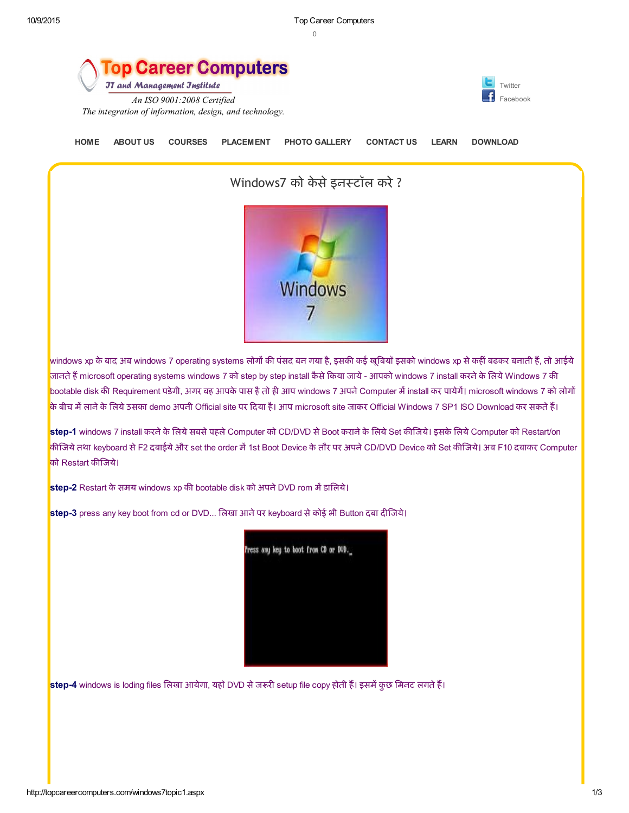$\Omega$ 

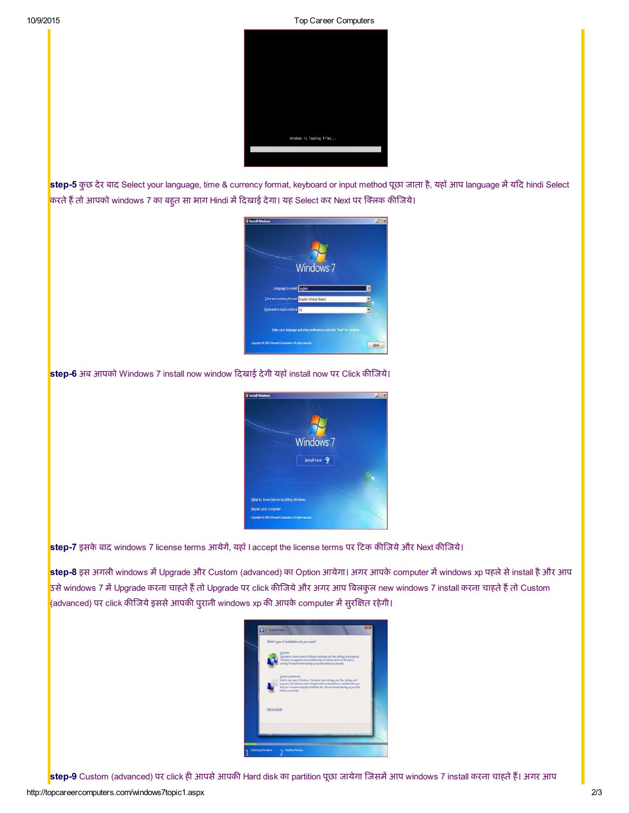10/9/2015 Top Career Computers



step-5 कुछ देर बाद Select your language, time & currency format, keyboard or input method पूछा जाता है, यहाँ आप language में यदि hindi Select करते हैं तो आपको windows 7 का बहुत सा भाग Hindi में दिखाई देगा। यह Select कर Next पर क्लिक कीजिये।



## <mark>step-6</mark> अब आपको Windows 7 install now window दिखाई देगी यहाॅ install now पर Click कीजिये।



step-7 इसके बाद windows 7 license terms आयेगें, यहाँ I accept the license terms पर टिक कीजिये और Next कीजिये।

step-8 इस अगली windows में Upgrade और Custom (advanced) का Option आयेगा। अगर आपके computer में windows xp पहले से install है और आप उसे windows 7 में Upgrade करना चाहते हैं तो Upgrade पर click कीजिये और अगर आप बिलकुल new windows 7 install करना चाहते हैं तो Custom (advanced) पर click कीजिये इससे आपकी पुरानी windows xp की आपके computer में सुरक्षित रहेगी।

|                | Which type of installation do you want?                                                                                                                                                                                                                                                                      |
|----------------|--------------------------------------------------------------------------------------------------------------------------------------------------------------------------------------------------------------------------------------------------------------------------------------------------------------|
|                | Upgrade<br>Upgrade to a newer version of Windows and keep your files, settings, and programs.<br>The option to upgrade is only available when an existing version of Windows is<br>running. We recommend backing up your files before you proceed.                                                           |
|                | Custom (advanced):<br>Install a new copy of Windows. This option does not keep your files, settings, and<br>programs. The option to make changes to disks and partitions is available when you<br>start your computer using the installation disc. We recommend backing up your files<br>before you proceed. |
| Help me decide |                                                                                                                                                                                                                                                                                                              |
|                |                                                                                                                                                                                                                                                                                                              |

<mark>step-9</mark> Custom (advanced) पर click ही आपसे आपकी Hard disk का partition पूछा जायेगा जिसमें आप windows 7 install करना चाहते हैं। अगर आप